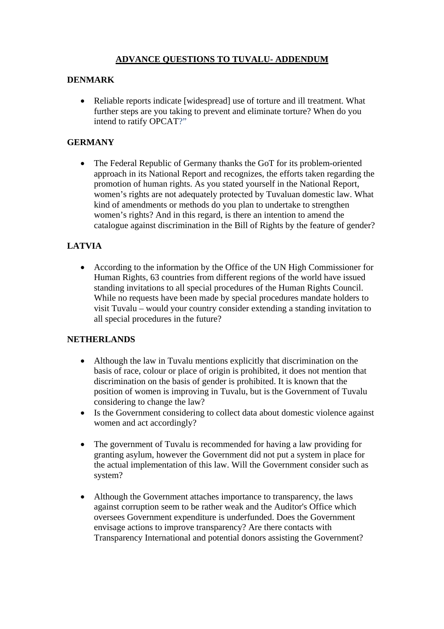## **ADVANCE QUESTIONS TO TUVALU- ADDENDUM**

### **DENMARK**

• Reliable reports indicate [widespread] use of torture and ill treatment. What further steps are you taking to prevent and eliminate torture? When do you intend to ratify OPCAT?"

## **GERMANY**

• The Federal Republic of Germany thanks the GoT for its problem-oriented approach in its National Report and recognizes, the efforts taken regarding the promotion of human rights. As you stated yourself in the National Report, women's rights are not adequately protected by Tuvaluan domestic law. What kind of amendments or methods do you plan to undertake to strengthen women's rights? And in this regard, is there an intention to amend the catalogue against discrimination in the Bill of Rights by the feature of gender?

# **LATVIA**

• According to the information by the Office of the UN High Commissioner for Human Rights, 63 countries from different regions of the world have issued standing invitations to all special procedures of the Human Rights Council. While no requests have been made by special procedures mandate holders to visit Tuvalu – would your country consider extending a standing invitation to all special procedures in the future?

## **NETHERLANDS**

- Although the law in Tuvalu mentions explicitly that discrimination on the basis of race, colour or place of origin is prohibited, it does not mention that discrimination on the basis of gender is prohibited. It is known that the position of women is improving in Tuvalu, but is the Government of Tuvalu considering to change the law?
- Is the Government considering to collect data about domestic violence against women and act accordingly?
- The government of Tuvalu is recommended for having a law providing for granting asylum, however the Government did not put a system in place for the actual implementation of this law. Will the Government consider such as system?
- Although the Government attaches importance to transparency, the laws against corruption seem to be rather weak and the Auditor's Office which oversees Government expenditure is underfunded. Does the Government envisage actions to improve transparency? Are there contacts with Transparency International and potential donors assisting the Government?